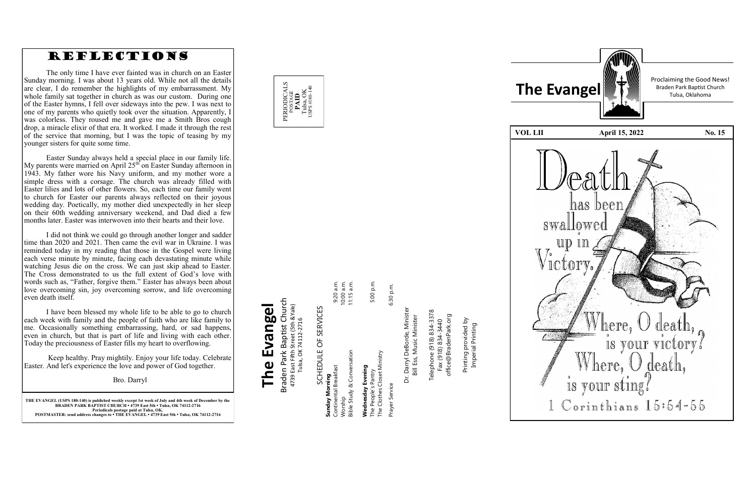**THE EVANGEL (USPS 180 -140) is published weekly except 1st week of July and 4th week of December by the BRADEN PARK BAPTIST CHURCH • 4739 East 5th • Tulsa, OK 74112 -2716 Periodicals postage paid at Tulsa, OK. POSTMASTER: send address changes to • THE EVANGEL • 4739 East 5th • Tulsa, OK 74112 -2716**

POSTAGE<br>**PAID**<br>Tulsa, OK<br>sps#180-14 USPS #180-140

### Braden Park Baptist Church<br>4739 East Fifth Street (5th &Yale)<br>Tulsa, OK 74112-2716 Braden Park Baptist Church **The Evangel** 4739 East Fifth Street (5th &Yale) The Evangel Tulsa, OK 74112-2716

PERIODICALS

Prayer Service 6:30 p.m. Dr. Darryl DeBorde, Minister<br>Bill Ess, Music Minister Dr. Darryl DeBorde, Minister Service

6:30 p.m.

Telephone (918) 834-3378<br>Fax (918) 834-3440 Telephone (918) 834-3378 Bill Ess, Music Minister

office@BradenPark.org office@BradenPark.org Fax (918) 834-3440

| SCHEDULE OF SERVICES        |            |
|-----------------------------|------------|
| Sunday Morning              |            |
| Continental Breakfast       | 9:20 a.m.  |
| Worship                     | 10:00 a.m. |
| Bible Study & Conversation  | 11:15 a.m. |
|                             |            |
| Wednesday Evening           |            |
| The People's Pantry         | 5:00 p.m.  |
| The Clothes Closet Ministry |            |

Printing provided by Printing provided by<br>Imperial Printing Imperial Printing









Proclaiming the Good News!

**VOL LII April 15, 2022** No. 15



### REFLECTIONS

The only time I have ever fainted was in church on an Easter Sunday morning. I was about 13 years old. While not all the details are clear, I do remember the highlights of my embarrassment. My whole family sat together in church as was our custom. During one of the Easter hymns, I fell over sideways into the pew. I was next to one of my parents who quietly took over the situation. Apparently, I was colorless. They roused me and gave me a Smith Bros cough drop, a miracle elixir of that era. It worked. I made it through the rest of the service that morning, but I was the topic of teasing by my younger sisters for quite some time.

Easter Sunday always held a special place in our family life. My parents were married on April  $25<sup>th</sup>$  on Easter Sunday afternoon in 1943. My father wore his Navy uniform, and my mother wore a simple dress with a corsage. The church was already filled with Easter lilies and lots of other flowers. So, each time our family went to church for Easter our parents always reflected on their joyous wedding day. Poetically, my mother died unexpectedly in her sleep on their 60th wedding anniversary weekend, and Dad died a few months later. Easter was interwoven into their hearts and their love.

I did not think we could go through another longer and sadder time than 2020 and 2021. Then came the evil war in Ukraine. I was reminded today in my reading that those in the Gospel were living each verse minute by minute, facing each devastating minute while watching Jesus die on the cross. We can just skip ahead to Easter. The Cross demonstrated to us the full extent of God 's love with words such as, "Father, forgive them." Easter has always been about love overcoming sin, joy overcoming sorrow, and life overcoming even death itself.

I have been blessed my whole life to be able to go to church each week with family and the people of faith who are like family to me. Occasionally something embarrassing, hard, or sad happens, even in church, but that is part of life and living with each other. Today the preciousness of Easter fills my heart to overflowing.

Keep healthy. Pray mightily. Enjoy your life today. Celebrate Easter. And let's experience the love and power of God together .

Bro. Darryl